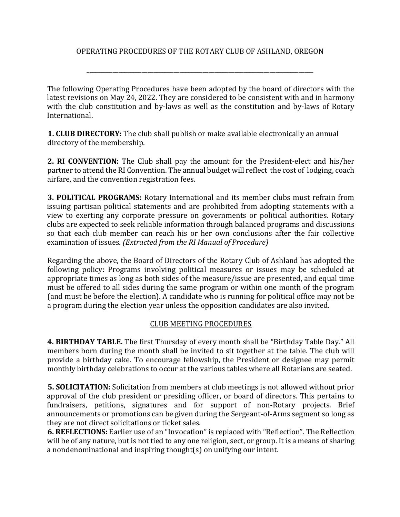#### OPERATING PROCEDURES OF THE ROTARY CLUB OF ASHLAND, OREGON

\_\_\_\_\_\_\_\_\_\_\_\_\_\_\_\_\_\_\_\_\_\_\_\_\_\_\_\_\_\_\_\_\_\_\_\_\_\_\_\_\_\_\_\_\_\_\_\_\_\_\_\_\_\_\_\_\_\_\_\_\_\_\_\_\_\_\_\_\_\_\_\_\_\_\_\_\_\_

The following Operating Procedures have been adopted by the board of directors with the latest revisions on May 24, 2022. They are considered to be consistent with and in harmony with the club constitution and by-laws as well as the constitution and by-laws of Rotary International.

**1. CLUB DIRECTORY:** The club shall publish or make available electronically an annual directory of the membership.

**2. RI CONVENTION:** The Club shall pay the amount for the President-elect and his/her partner to attend the RI Convention. The annual budget will reflect the cost of lodging, coach airfare, and the convention registration fees.

**3. POLITICAL PROGRAMS:** Rotary International and its member clubs must refrain from issuing partisan political statements and are prohibited from adopting statements with a view to exerting any corporate pressure on governments or political authorities. Rotary clubs are expected to seek reliable information through balanced programs and discussions so that each club member can reach his or her own conclusions after the fair collective examination of issues. *(Extracted from the RI Manual of Procedure)* 

Regarding the above, the Board of Directors of the Rotary Club of Ashland has adopted the following policy: Programs involving political measures or issues may be scheduled at appropriate times as long as both sides of the measure/issue are presented, and equal time must be offered to all sides during the same program or within one month of the program (and must be before the election). A candidate who is running for political office may not be a program during the election year unless the opposition candidates are also invited.

#### CLUB MEETING PROCEDURES

**4. BIRTHDAY TABLE.** The first Thursday of every month shall be "Birthday Table Day." All members born during the month shall be invited to sit together at the table. The club will provide a birthday cake. To encourage fellowship, the President or designee may permit monthly birthday celebrations to occur at the various tables where all Rotarians are seated.

**5. SOLICITATION:** Solicitation from members at club meetings is not allowed without prior approval of the club president or presiding officer, or board of directors. This pertains to fundraisers, petitions, signatures and for support of non-Rotary projects. Brief announcements or promotions can be given during the Sergeant-of-Arms segment so long as they are not direct solicitations or ticket sales.

**6. REFLECTIONS:** Earlier use of an "Invocation" is replaced with "Reflection". The Reflection will be of any nature, but is not tied to any one religion, sect, or group. It is a means of sharing a nondenominational and inspiring thought(s) on unifying our intent.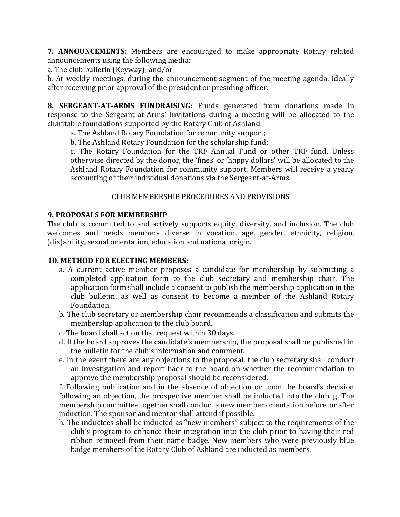**7. ANNOUNCEMENTS:** Members are encouraged to make appropriate Rotary related announcements using the following media:

a. The club bulletin (Keyway); and/or

b. At weekly meetings, during the announcement segment of the meeting agenda, ideally after receiving prior approval of the president or presiding officer.

**8. SERGEANT-AT-ARMS FUNDRAISING:** Funds generated from donations made in response to the Sergeant-at-Arms' invitations during a meeting will be allocated to the charitable foundations supported by the Rotary Club of Ashland:

a. The Ashland Rotary Foundation for community support;

b. The Ashland Rotary Foundation for the scholarship fund;

c. The Rotary Foundation for the TRF Annual Fund or other TRF fund. Unless otherwise directed by the donor, the 'fines' or 'happy dollars' will be allocated to the Ashland Rotary Foundation for community support. Members will receive a yearly accounting of their individual donations via the Sergeant-at-Arms.

## CLUB MEMBERSHIP PROCEDURES AND PROVISIONS

### **9. PROPOSALS FOR MEMBERSHIP**

The club is committed to and actively supports equity, diversity, and inclusion. The club welcomes and needs members diverse in vocation, age, gender, ethnicity, religion, (dis)ability, sexual orientation, education and national origin.

### **10. METHOD FOR ELECTING MEMBERS:**

- a. A current active member proposes a candidate for membership by submitting a completed application form to the club secretary and membership chair. The application form shall include a consent to publish the membership application in the club bulletin, as well as consent to become a member of the Ashland Rotary Foundation.
- b. The club secretary or membership chair recommends a classification and submits the membership application to the club board.
- c. The board shall act on that request within 30 days.
- d. If the board approves the candidate's membership, the proposal shall be published in the bulletin for the club's information and comment.
- e. In the event there are any objections to the proposal, the club secretary shall conduct an investigation and report back to the board on whether the recommendation to approve the membership proposal should be reconsidered.

f. Following publication and in the absence of objection or upon the board's decision following an objection, the prospective member shall be inducted into the club. g. The membership committee together shall conduct a new member orientation before or after induction. The sponsor and mentor shall attend if possible.

h. The inductees shall be inducted as "new members" subject to the requirements of the club's program to enhance their integration into the club prior to having their red ribbon removed from their name badge. New members who were previously blue badge members of the Rotary Club of Ashland are inducted as members.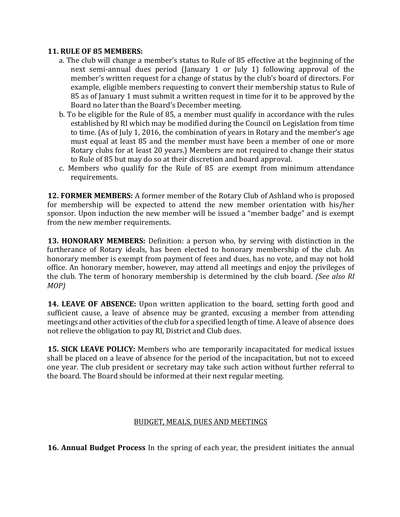#### **11. RULE OF 85 MEMBERS:**

- a. The club will change a member's status to Rule of 85 effective at the beginning of the next semi-annual dues period (January 1 or July 1) following approval of the member's written request for a change of status by the club's board of directors. For example, eligible members requesting to convert their membership status to Rule of 85 as of January 1 must submit a written request in time for it to be approved by the Board no later than the Board's December meeting.
- b. To be eligible for the Rule of 85, a member must qualify in accordance with the rules established by RI which may be modified during the Council on Legislation from time to time. (As of July 1, 2016, the combination of years in Rotary and the member's age must equal at least 85 and the member must have been a member of one or more Rotary clubs for at least 20 years.) Members are not required to change their status to Rule of 85 but may do so at their discretion and board approval.
- c. Members who qualify for the Rule of 85 are exempt from minimum attendance requirements.

**12. FORMER MEMBERS:** A former member of the Rotary Club of Ashland who is proposed for membership will be expected to attend the new member orientation with his/her sponsor. Upon induction the new member will be issued a "member badge" and is exempt from the new member requirements.

**13. HONORARY MEMBERS:** Definition: a person who, by serving with distinction in the furtherance of Rotary ideals, has been elected to honorary membership of the club. An honorary member is exempt from payment of fees and dues, has no vote, and may not hold office. An honorary member, however, may attend all meetings and enjoy the privileges of the club. The term of honorary membership is determined by the club board. *(See also RI MOP)* 

**14. LEAVE OF ABSENCE:** Upon written application to the board, setting forth good and sufficient cause, a leave of absence may be granted, excusing a member from attending meetings and other activities of the club for a specified length of time. A leave of absence does not relieve the obligation to pay RI, District and Club dues.

**15. SICK LEAVE POLICY:** Members who are temporarily incapacitated for medical issues shall be placed on a leave of absence for the period of the incapacitation, but not to exceed one year. The club president or secretary may take such action without further referral to the board. The Board should be informed at their next regular meeting.

### BUDGET, MEALS, DUES AND MEETINGS

**16. Annual Budget Process** In the spring of each year, the president initiates the annual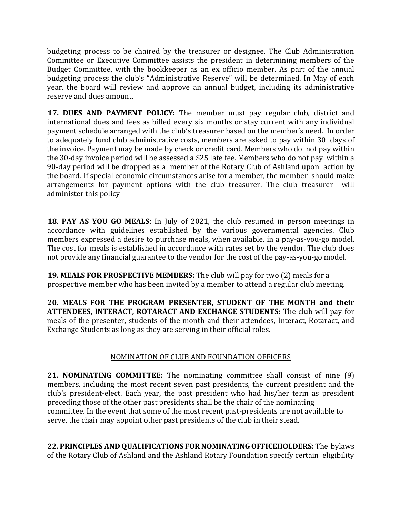budgeting process to be chaired by the treasurer or designee. The Club Administration Committee or Executive Committee assists the president in determining members of the Budget Committee, with the bookkeeper as an ex officio member. As part of the annual budgeting process the club's "Administrative Reserve" will be determined. In May of each year, the board will review and approve an annual budget, including its administrative reserve and dues amount.

**17. DUES AND PAYMENT POLICY:** The member must pay regular club, district and international dues and fees as billed every six months or stay current with any individual payment schedule arranged with the club's treasurer based on the member's need. In order to adequately fund club administrative costs, members are asked to pay within 30 days of the invoice. Payment may be made by check or credit card. Members who do not pay within the 30-day invoice period will be assessed a \$25 late fee. Members who do not pay within a 90-day period will be dropped as a member of the Rotary Club of Ashland upon action by the board. If special economic circumstances arise for a member, the member should make arrangements for payment options with the club treasurer. The club treasurer will administer this policy

**18**. **PAY AS YOU GO MEALS**: In July of 2021, the club resumed in person meetings in accordance with guidelines established by the various governmental agencies. Club members expressed a desire to purchase meals, when available, in a pay-as-you-go model. The cost for meals is established in accordance with rates set by the vendor. The club does not provide any financial guarantee to the vendor for the cost of the pay-as-you-go model.

**19. MEALS FOR PROSPECTIVE MEMBERS:** The club will pay for two (2) meals for a prospective member who has been invited by a member to attend a regular club meeting.

**20. MEALS FOR THE PROGRAM PRESENTER, STUDENT OF THE MONTH and their ATTENDEES, INTERACT, ROTARACT AND EXCHANGE STUDENTS:** The club will pay for meals of the presenter, students of the month and their attendees, Interact, Rotaract, and Exchange Students as long as they are serving in their official roles.

# NOMINATION OF CLUB AND FOUNDATION OFFICERS

**21. NOMINATING COMMITTEE:** The nominating committee shall consist of nine (9) members, including the most recent seven past presidents, the current president and the club's president-elect. Each year, the past president who had his/her term as president preceding those of the other past presidents shall be the chair of the nominating committee. In the event that some of the most recent past-presidents are not available to serve, the chair may appoint other past presidents of the club in their stead.

**22. PRINCIPLES AND QUALIFICATIONS FOR NOMINATING OFFICEHOLDERS:** The bylaws of the Rotary Club of Ashland and the Ashland Rotary Foundation specify certain eligibility